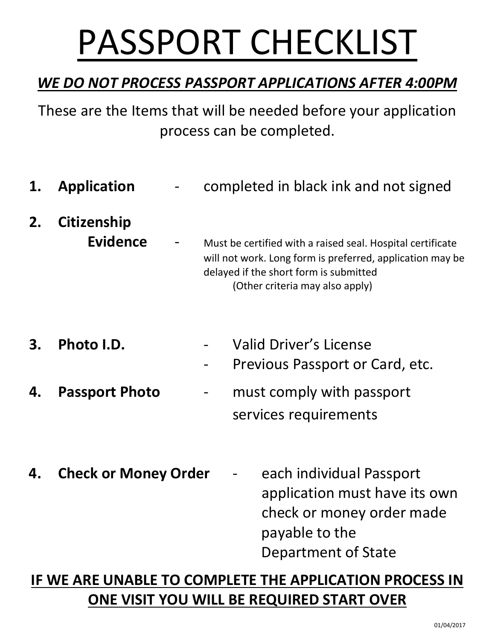# PASSPORT CHECKLIST

### *WE DO NOT PROCESS PASSPORT APPLICATIONS AFTER 4:00PM*

These are the Items that will be needed before your application process can be completed.

- **1. Application** completed in black ink and not signed
- **2. Citizenship Evidence** - Must be certified with a raised seal. Hospital certificate
	- will not work. Long form is preferred, application may be delayed if the short form is submitted (Other criteria may also apply)
- **3. Photo I.D.** Valid Driver's License
	- Previous Passport or Card, etc.
- **4. Passport Photo** must comply with passport services requirements
- **4. Check or Money Order** each individual Passport application must have its own check or money order made payable to the Department of State

## **IF WE ARE UNABLE TO COMPLETE THE APPLICATION PROCESS IN ONE VISIT YOU WILL BE REQUIRED START OVER**